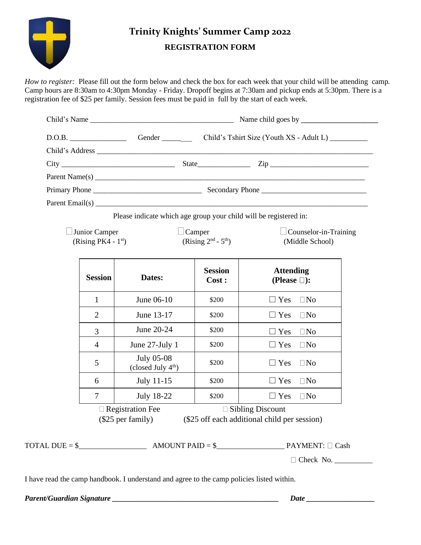

# **Trinity Knights' Summer Camp 2022 REGISTRATION FORM**

*How to register:* Please fill out the form below and check the box for each week that your child will be attending camp. Camp hours are 8:30am to 4:30pm Monday - Friday. Dropoff begins at 7:30am and pickup ends at 5:30pm. There is a registration fee of \$25 per family. Session fees must be paid in full by the start of each week.

|  |                                        | Please indicate which age group your child will be registered in: |                                        |                                                                                                                                                                                                                                                          |
|--|----------------------------------------|-------------------------------------------------------------------|----------------------------------------|----------------------------------------------------------------------------------------------------------------------------------------------------------------------------------------------------------------------------------------------------------|
|  | Junior Camper<br>(Rising PK4 - $1st$ ) |                                                                   | $\Box$ Camper<br>(Rising $2nd - 5th$ ) | $\Box$ Counselor-in-Training<br>(Middle School)                                                                                                                                                                                                          |
|  | <b>Session</b>                         | Dates:                                                            | <b>Session</b><br>Cost:                | <b>Attending</b><br>(Please $\square$ ):                                                                                                                                                                                                                 |
|  | 1                                      | June 06-10                                                        | \$200                                  | $\Box$ Yes $\Box$ No                                                                                                                                                                                                                                     |
|  | $\overline{2}$                         | June 13-17                                                        | \$200                                  | $\Box$ Yes $\Box$ No                                                                                                                                                                                                                                     |
|  | 3                                      | June 20-24                                                        | \$200                                  | $\square$ No<br>$\Box$ Yes                                                                                                                                                                                                                               |
|  | 4                                      | June 27-July 1                                                    | \$200                                  | $\Box$ Yes<br>$\square$ No                                                                                                                                                                                                                               |
|  | 5                                      | <b>July 05-08</b><br>(closed July $4th$ )                         | \$200                                  | $\Box$ Yes<br>$\Box$ No                                                                                                                                                                                                                                  |
|  | 6                                      | July 11-15                                                        | \$200                                  | $\Box$ Yes<br>$\Box$ No                                                                                                                                                                                                                                  |
|  | $\overline{7}$                         | <b>July 18-22</b>                                                 | \$200                                  | $\Box$ Yes<br>$\Box$ No                                                                                                                                                                                                                                  |
|  |                                        | $\square$ Registration Fee<br>$(\$25$ per family)                 |                                        | $\Box$ Sibling Discount<br>(\$25 off each additional child per session)                                                                                                                                                                                  |
|  |                                        |                                                                   |                                        | $\text{TOTAL DUE} = \$$ $\_\_\_\_\_\_\_\_\_\_\_\_\_\_\_\_\$ AMOUNT PAID = \frac{\sqrt{\sqrt{\sqrt{\sqrt{\sqrt{\sqrt{\sqrt{\sqrt{\sqrt{\sqrt{\sqrt{\sqrt{\sqrt{\sqrt{\sqrt{\sqrt{\sqrt{\sqrt{\sqrt{\sqrt{\sqrt{\sqrt{\sqrt{\sqrt{\sqrt{\sqrt{\sqrt{\sqrt{ |

I have read the camp handbook. I understand and agree to the camp policies listed within.

*Parent/Guardian Signature \_\_\_\_\_\_\_\_\_\_\_\_\_\_\_\_\_\_\_\_\_\_\_\_\_\_\_\_\_\_\_\_\_\_\_\_\_\_\_\_\_\_\_\_ Date \_\_\_\_\_\_\_\_\_\_\_\_\_\_\_\_\_\_*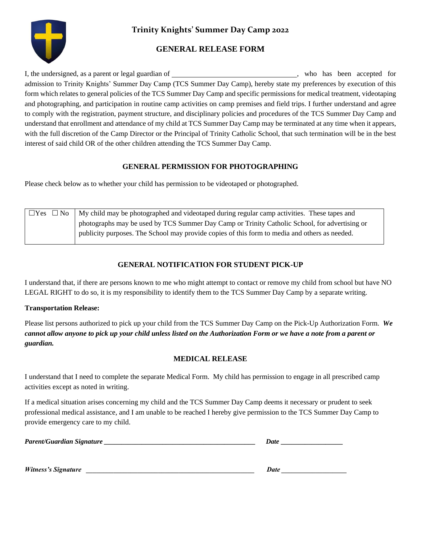

**Trinity Knights' Summer Day Camp 2022**

## **GENERAL RELEASE FORM**

I, the undersigned, as a parent or legal guardian of \_\_\_\_\_\_\_\_\_\_\_\_\_\_\_\_\_\_\_\_\_\_\_\_\_\_\_\_\_\_\_\_\_, who has been accepted for admission to Trinity Knights' Summer Day Camp (TCS Summer Day Camp), hereby state my preferences by execution of this form which relates to general policies of the TCS Summer Day Camp and specific permissions for medical treatment, videotaping and photographing, and participation in routine camp activities on camp premises and field trips. I further understand and agree to comply with the registration, payment structure, and disciplinary policies and procedures of the TCS Summer Day Camp and understand that enrollment and attendance of my child at TCS Summer Day Camp may be terminated at any time when it appears, with the full discretion of the Camp Director or the Principal of Trinity Catholic School, that such termination will be in the best interest of said child OR of the other children attending the TCS Summer Day Camp.

#### **GENERAL PERMISSION FOR PHOTOGRAPHING**

Please check below as to whether your child has permission to be videotaped or photographed.

| $\Box$ Yes $\Box$ No | My child may be photographed and videotaped during regular camp activities. These tapes and   |  |
|----------------------|-----------------------------------------------------------------------------------------------|--|
|                      | photographs may be used by TCS Summer Day Camp or Trinity Catholic School, for advertising or |  |
|                      | publicity purposes. The School may provide copies of this form to media and others as needed. |  |

### **GENERAL NOTIFICATION FOR STUDENT PICK-UP**

I understand that, if there are persons known to me who might attempt to contact or remove my child from school but have NO LEGAL RIGHT to do so, it is my responsibility to identify them to the TCS Summer Day Camp by a separate writing.

#### **Transportation Release:**

Please list persons authorized to pick up your child from the TCS Summer Day Camp on the Pick-Up Authorization Form. *We cannot allow anyone to pick up your child unless listed on the Authorization Form or we have a note from a parent or guardian.*

#### **MEDICAL RELEASE**

I understand that I need to complete the separate Medical Form. My child has permission to engage in all prescribed camp activities except as noted in writing.

If a medical situation arises concerning my child and the TCS Summer Day Camp deems it necessary or prudent to seek professional medical assistance, and I am unable to be reached I hereby give permission to the TCS Summer Day Camp to provide emergency care to my child.

| Parent/Guardian Signature  | Date |
|----------------------------|------|
|                            |      |
| <b>Witness's Signature</b> | Date |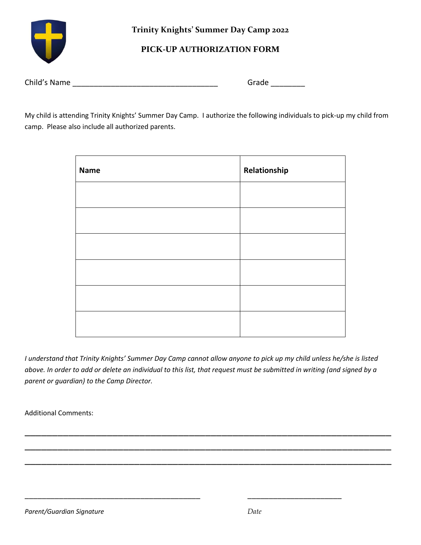

**Trinity Knights' Summer Day Camp 2022**

## **PICK-UP AUTHORIZATION FORM**

| Child's Name | Grade |
|--------------|-------|
|              |       |

My child is attending Trinity Knights' Summer Day Camp. I authorize the following individuals to pick-up my child from camp. Please also include all authorized parents.

| <b>Name</b> | Relationship |
|-------------|--------------|
|             |              |
|             |              |
|             |              |
|             |              |
|             |              |
|             |              |

*I understand that Trinity Knights' Summer Day Camp cannot allow anyone to pick up my child unless he/she is listed above. In order to add or delete an individual to this list, that request must be submitted in writing (and signed by a parent or guardian) to the Camp Director.*

\_\_\_\_\_\_\_\_\_\_\_\_\_\_\_\_\_\_\_\_\_\_\_\_\_\_\_\_\_\_\_\_\_\_\_\_\_\_\_\_\_\_\_\_\_\_\_\_\_\_\_\_\_\_\_\_\_\_\_\_\_\_\_\_\_\_\_

\_\_\_\_\_\_\_\_\_\_\_\_\_\_\_\_\_\_\_\_\_\_\_\_\_\_\_\_\_\_\_\_\_\_\_\_\_\_\_\_\_\_\_\_\_\_\_\_\_\_\_\_\_\_\_\_\_\_\_\_\_\_\_\_\_\_\_

\_\_\_\_\_\_\_\_\_\_\_\_\_\_\_\_\_\_\_\_\_\_\_\_\_\_\_\_\_\_\_\_\_\_\_\_\_\_\_\_\_\_\_\_\_\_\_\_\_\_\_\_\_\_\_\_\_\_\_\_\_\_\_\_\_\_\_

\_\_\_\_\_\_\_\_\_\_\_\_\_\_\_\_\_\_\_\_\_\_\_\_\_\_\_\_\_\_\_\_\_\_\_\_\_\_\_\_\_ \_\_\_\_\_\_\_\_\_\_\_\_\_\_\_\_\_\_\_\_\_\_

Additional Comments: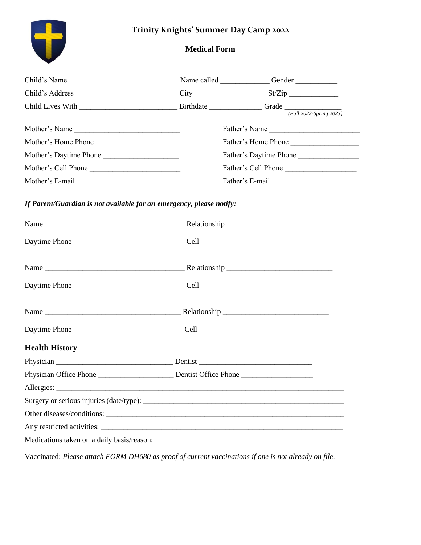## **Trinity Knights' Summer Day Camp 2022**



## **Medical Form**

| Child's Name                                                                                                                                                                                                                                                                                                        |                        |
|---------------------------------------------------------------------------------------------------------------------------------------------------------------------------------------------------------------------------------------------------------------------------------------------------------------------|------------------------|
|                                                                                                                                                                                                                                                                                                                     |                        |
|                                                                                                                                                                                                                                                                                                                     |                        |
| Mother's Name                                                                                                                                                                                                                                                                                                       | Father's Name          |
|                                                                                                                                                                                                                                                                                                                     | Father's Home Phone    |
| Mother's Daytime Phone                                                                                                                                                                                                                                                                                              | Father's Daytime Phone |
| Mother's Cell Phone                                                                                                                                                                                                                                                                                                 | Father's Cell Phone    |
|                                                                                                                                                                                                                                                                                                                     |                        |
| If Parent/Guardian is not available for an emergency, please notify:                                                                                                                                                                                                                                                |                        |
|                                                                                                                                                                                                                                                                                                                     |                        |
| Daytime Phone                                                                                                                                                                                                                                                                                                       |                        |
|                                                                                                                                                                                                                                                                                                                     |                        |
| Daytime Phone                                                                                                                                                                                                                                                                                                       |                        |
|                                                                                                                                                                                                                                                                                                                     |                        |
| Daytime Phone                                                                                                                                                                                                                                                                                                       |                        |
| <b>Health History</b>                                                                                                                                                                                                                                                                                               |                        |
|                                                                                                                                                                                                                                                                                                                     |                        |
|                                                                                                                                                                                                                                                                                                                     |                        |
| Allergies:<br><u> 1989 - John Stein, Amerikaansk konstantinopler (* 1989)</u>                                                                                                                                                                                                                                       |                        |
|                                                                                                                                                                                                                                                                                                                     |                        |
|                                                                                                                                                                                                                                                                                                                     |                        |
|                                                                                                                                                                                                                                                                                                                     |                        |
|                                                                                                                                                                                                                                                                                                                     |                        |
| $\frac{1}{2}$ $\frac{1}{2}$ $\frac{1}{2}$ $\frac{1}{2}$ $\frac{1}{2}$ $\frac{1}{2}$ $\frac{1}{2}$ $\frac{1}{2}$ $\frac{1}{2}$ $\frac{1}{2}$ $\frac{1}{2}$ $\frac{1}{2}$ $\frac{1}{2}$ $\frac{1}{2}$ $\frac{1}{2}$ $\frac{1}{2}$ $\frac{1}{2}$ $\frac{1}{2}$ $\frac{1}{2}$ $\frac{1}{2}$ $\frac{1}{2}$ $\frac{1}{2}$ |                        |

Vaccinated: *Please attach FORM DH680 as proof of current vaccinations if one is not already on file.*